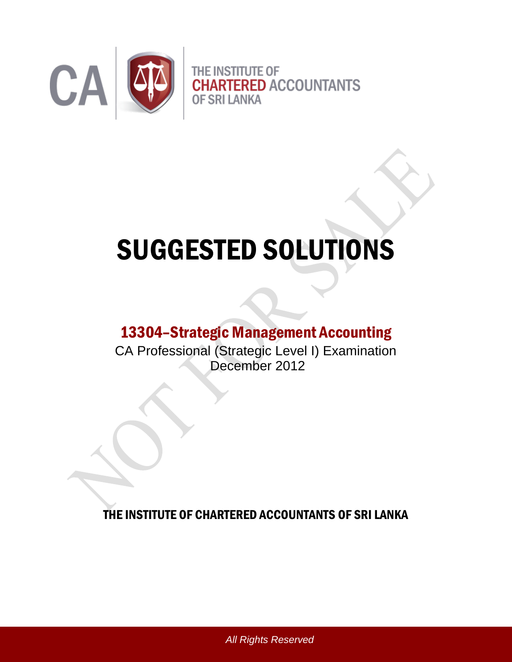

# SUGGESTED SOLUTIONS

# 13304–Strategic Management Accounting

CA Professional (Strategic Level I) Examination December 2012

THE INSTITUTE OF CHARTERED ACCOUNTANTS OF SRI LANKA

*All Rights Reserved*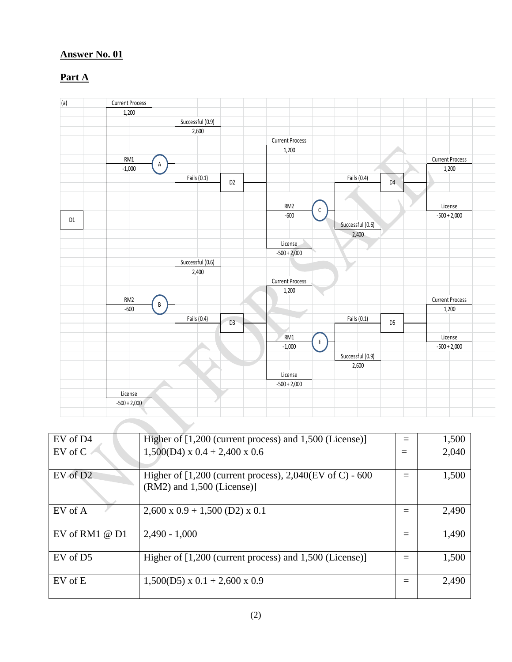# **Part A**



| EV of D4             | Higher of [1,200 (current process) and 1,500 (License)]                                       | 1,500 |
|----------------------|-----------------------------------------------------------------------------------------------|-------|
| $EV$ of $C$          | $1,500(D4)$ x 0.4 + 2,400 x 0.6                                                               | 2,040 |
| $EV$ of $D2$         | Higher of $[1,200$ (current process), $2,040$ (EV of C) - 600<br>$(RM2)$ and 1,500 (License)] | 1,500 |
| EV of A              | $2,600 \times 0.9 + 1,500$ (D2) $\times 0.1$                                                  | 2,490 |
| EV of RM1 $@$ D1     | $2,490 - 1,000$                                                                               | 1,490 |
| EV of D <sub>5</sub> | Higher of [1,200 (current process) and 1,500 (License)]                                       | 1,500 |
| EV of E              | $1,500(D5) \times 0.1 + 2,600 \times 0.9$                                                     | 2,490 |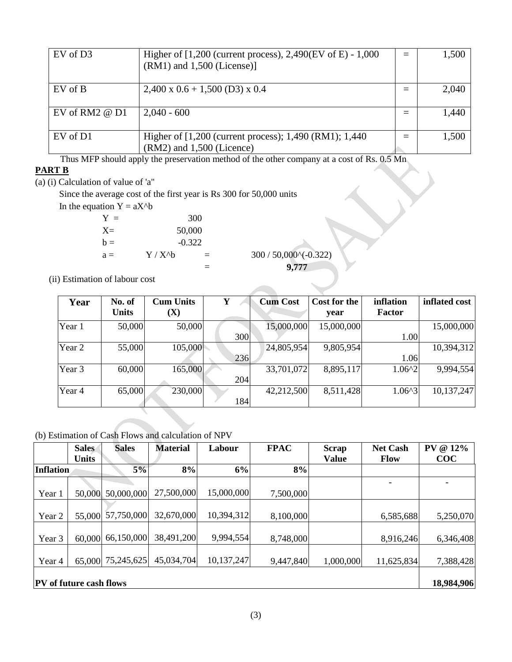| EV of D <sub>3</sub> | Higher of $[1,200$ (current process), 2,490(EV of E) - 1,000<br>$(RM1)$ and 1,500 (License)] | 1,500 |
|----------------------|----------------------------------------------------------------------------------------------|-------|
| EV of B              | $2,400 \times 0.6 + 1,500$ (D3) $\times 0.4$                                                 | 2,040 |
| EV of RM2 $@$ D1     | $2,040 - 600$                                                                                | 1,440 |
| EV of D1             | Higher of [1,200 (current process); 1,490 (RM1); 1,440<br>$(RM2)$ and 1,500 (Licence)        | 1,500 |

Thus MFP should apply the preservation method of the other company at a cost of Rs. 0.5 Mn

#### **PART B**

(a) (i) Calculation of value of 'a"

Since the average cost of the first year is Rs 300 for 50,000 units

In the equation  $Y = aX^b$ 

| $Y =$ |           | 300      |
|-------|-----------|----------|
| $X =$ | 50,000    |          |
| $b =$ |           | $-0.322$ |
| $a =$ | $Y / X^h$ | $=$      |
|       |           |          |

 $300 / 50,000^{\circ}(-0.322)$ = **9,777** 

(ii) Estimation of labour cost

| Year   | No. of<br><b>Units</b> | <b>Cum Units</b><br>(X) | Y   | <b>Cum Cost</b> | Cost for the<br>year | inflation<br><b>Factor</b> | inflated cost |
|--------|------------------------|-------------------------|-----|-----------------|----------------------|----------------------------|---------------|
| Year 1 | 50,000                 | 50,000                  |     | 15,000,000      | 15,000,000           |                            | 15,000,000    |
|        |                        |                         | 300 |                 |                      | 1.00                       |               |
| Year 2 | 55,000                 | 105,000                 |     | 24,805,954      | 9,805,954            |                            | 10,394,312    |
|        |                        |                         | 236 |                 |                      | 1.06                       |               |
| Year 3 | 60,000                 | 165,000                 |     | 33,701,072      | 8,895,117            | $1.06^{2}$                 | 9,994,554     |
|        |                        |                         | 204 |                 |                      |                            |               |
| Year 4 | 65,000                 | 230,000                 |     | 42,212,500      | 8,511,428            | $1.06^{4}3$                | 10,137,247    |
|        |                        |                         | 184 |                 |                      |                            |               |

(b) Estimation of Cash Flows and calculation of NPV

|                  | <b>Sales</b>                   | <b>Sales</b> | <b>Material</b> | Labour     | <b>FPAC</b> | <b>Scrap</b> | <b>Net Cash</b> | $@12\%$<br><b>PV</b> |  |  |
|------------------|--------------------------------|--------------|-----------------|------------|-------------|--------------|-----------------|----------------------|--|--|
|                  | <b>Units</b>                   |              |                 |            |             | <b>Value</b> | <b>Flow</b>     | $\bf COC$            |  |  |
| <b>Inflation</b> |                                | 5%           | 8%              | 6%         | 8%          |              |                 |                      |  |  |
|                  |                                |              |                 |            |             |              |                 |                      |  |  |
| Year 1           | 50,000                         | 50,000,000   | 27,500,000      | 15,000,000 | 7,500,000   |              |                 |                      |  |  |
|                  |                                |              |                 |            |             |              |                 |                      |  |  |
| Year 2           | 55,000                         | 57,750,000   | 32,670,000      | 10,394,312 | 8,100,000   |              | 6,585,688       | 5,250,070            |  |  |
|                  |                                |              |                 |            |             |              |                 |                      |  |  |
| Year 3           | 60,000                         | 66,150,000   | 38,491,200      | 9,994,554  | 8,748,000   |              | 8,916,246       | 6,346,408            |  |  |
|                  |                                |              |                 |            |             |              |                 |                      |  |  |
| Year 4           | 65,000                         | 75,245,625   | 45,034,704      | 10,137,247 | 9,447,840   | 1,000,000    | 11,625,834      | 7,388,428            |  |  |
|                  |                                |              |                 |            |             |              |                 |                      |  |  |
|                  | <b>PV</b> of future cash flows |              |                 |            |             |              |                 |                      |  |  |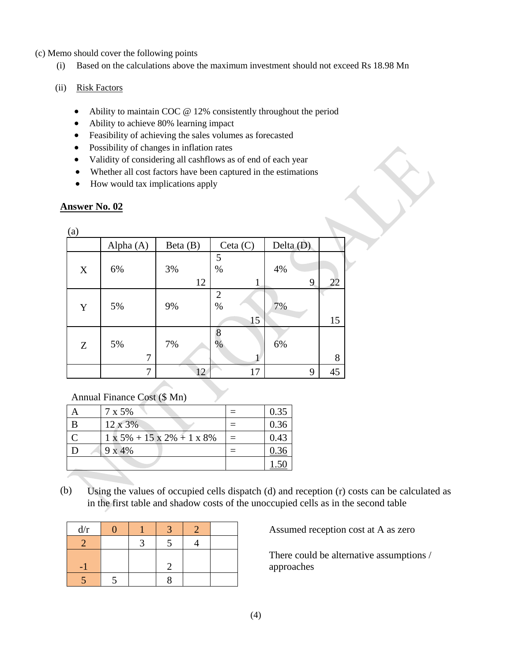(c) Memo should cover the following points

- (i) Based on the calculations above the maximum investment should not exceed Rs 18.98 Mn
- (ii) Risk Factors
	- Ability to maintain COC @ 12% consistently throughout the period
	- Ability to achieve 80% learning impact
	- Feasibility of achieving the sales volumes as forecasted
	- Possibility of changes in inflation rates
	- Validity of considering all cashflows as of end of each year
	- Whether all cost factors have been captured in the estimations
	- How would tax implications apply

# **Answer No. 02**

| (a) |           |            |                              |             |    |
|-----|-----------|------------|------------------------------|-------------|----|
|     | Alpha (A) | Beta $(B)$ | Ceta(C)                      | Delta $(D)$ |    |
| X   | 6%        | 3%<br>12   | 5<br>$\%$<br>1               | 4%<br>9     | 22 |
| Y   | 5%        | 9%         | $\overline{2}$<br>$\%$<br>15 | 7%          | 15 |
| Z   | 5%<br>7   | 7%         | 8<br>$\%$                    | 6%          | 8  |
|     | 7         | 12         | 17                           | 9           | 45 |

# Annual Finance Cost (\$ Mn)

| 7 x 5%                                        | 0.35 |
|-----------------------------------------------|------|
| 12 x 3%                                       | 0.36 |
| $1 \times 5\% + 15 \times 2\% + 1 \times 8\%$ | 0.43 |
| 9x4%                                          |      |
|                                               |      |

(b) Using the values of occupied cells dispatch (d) and reception (r) costs can be calculated as in the first table and shadow costs of the unoccupied cells as in the second table

| d/r |  |  |  |
|-----|--|--|--|
|     |  |  |  |
|     |  |  |  |
|     |  |  |  |
|     |  |  |  |

Assumed reception cost at A as zero

There could be alternative assumptions / approaches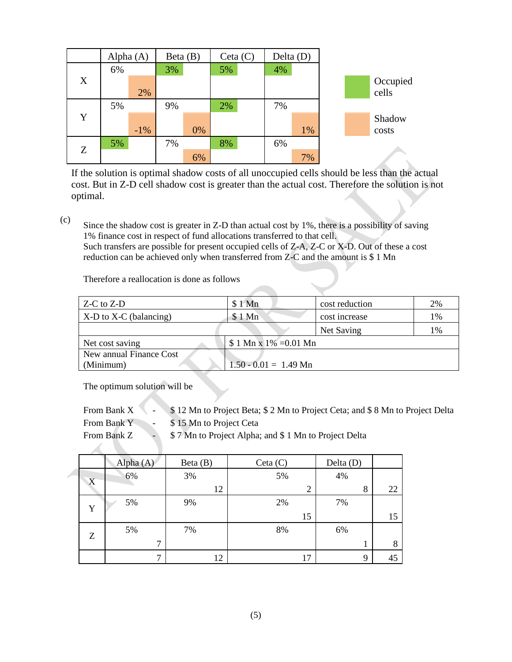|   | Alpha $(A)$ |        | Beta $(B)$ |    |    | Ceta(C) | Delta (D) |       |  |          |
|---|-------------|--------|------------|----|----|---------|-----------|-------|--|----------|
|   | 6%          |        | 3%         |    | 5% |         | 4%        |       |  |          |
| X |             |        |            |    |    |         |           |       |  | Occupied |
|   |             | 2%     |            |    |    |         |           |       |  | cells    |
|   | 5%          |        | 9%         |    | 2% |         | 7%        |       |  |          |
| Y |             |        |            |    |    |         |           |       |  | Shadow   |
|   |             | $-1\%$ |            | 0% |    |         |           | 1%    |  | costs    |
|   | 5%          |        | 7%         |    | 8% |         | 6%        |       |  |          |
| Z |             |        |            | 6% |    |         |           | $7\%$ |  |          |

If the solution is optimal shadow costs of all unoccupied cells should be less than the actual cost. But in Z-D cell shadow cost is greater than the actual cost. Therefore the solution is not optimal.

(c) Since the shadow cost is greater in Z-D than actual cost by 1%, there is a possibility of saving 1% finance cost in respect of fund allocations transferred to that cell. Such transfers are possible for present occupied cells of Z-A, Z-C or X-D. Out of these a cost reduction can be achieved only when transferred from Z-C and the amount is \$ 1 Mn

Therefore a reallocation is done as follows

| Z-C to Z-D                 | \$1 Mn                  | cost reduction | 2% |
|----------------------------|-------------------------|----------------|----|
| $X-D$ to $X-C$ (balancing) | \$1 Mn                  | cost increase  | 1% |
|                            |                         | Net Saving     | 1% |
| Net cost saving            | $$1 Mn x 1\% = 0.01 Mn$ |                |    |
| New annual Finance Cost    |                         |                |    |
| (Minimum)                  | $1.50 - 0.01 = 1.49$ Mn |                |    |

The optimum solution will be

 $\mathcal{L}$  . The set of  $\mathcal{L}$ 

From Bank X - \$ 12 Mn to Project Beta; \$ 2 Mn to Project Ceta; and \$ 8 Mn to Project Delta From Bank Y - \$15 Mn to Project Ceta

From Bank Z  $\sim$  \$7 Mn to Project Alpha; and \$1 Mn to Project Delta

|   | Alpha $(A)$  | Beta(B) | Ceta(C) | Delta $(D)$ |    |
|---|--------------|---------|---------|-------------|----|
| X | 6%           | 3%      | 5%      | 4%          |    |
|   |              | 12      | 2       | 8           | 22 |
| Y | 5%           | 9%      | 2%      | 7%          |    |
|   |              |         | 15      |             | 15 |
| Z | 5%           | 7%      | 8%      | 6%          |    |
|   | $\mathbf{r}$ |         |         | 1           | 8  |
|   | ⇁            | 12      | 17      | 9           | 45 |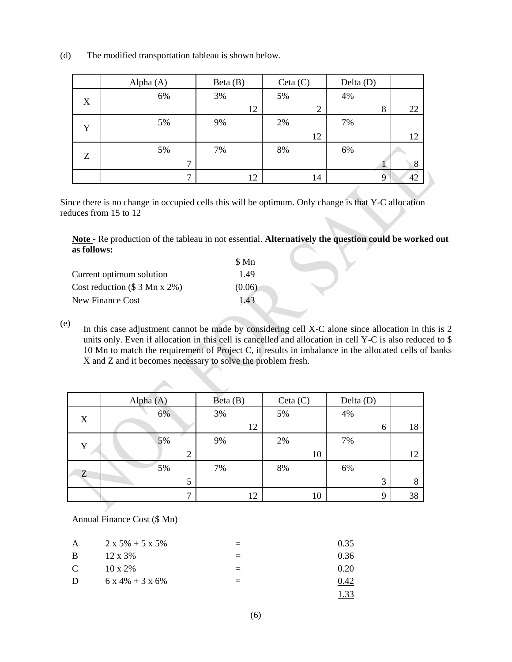(d) The modified transportation tableau is shown below.

|   | Alpha (A)    | Beta (B) | Ceta(C)        | Delta $(D)$  |    |
|---|--------------|----------|----------------|--------------|----|
| X | 6%           | 3%       | 5%             | 4%           |    |
|   |              | 12       | $\overline{2}$ | 8            | 22 |
| Y | 5%           | 9%       | 2%             | 7%           |    |
|   |              |          | 12             |              | 12 |
|   | 5%           | 7%       | 8%             | 6%           |    |
| Z | $\mathbf{r}$ |          |                | $\mathbf{I}$ | 8  |
|   | $\mathbf{r}$ | 12       | 14             | 9            | 42 |

Since there is no change in occupied cells this will be optimum. Only change is that Y-C allocation reduces from 15 to 12

**Note -** Re production of the tableau in not essential. **Alternatively the question could be worked out as follows:**

| \$ Mn  |
|--------|
| 1.49   |
| (0.06) |
| 1.43   |
|        |

(e) In this case adjustment cannot be made by considering cell X-C alone since allocation in this is 2 units only. Even if allocation in this cell is cancelled and allocation in cell Y-C is also reduced to \$ 10 Mn to match the requirement of Project C, it results in imbalance in the allocated cells of banks X and Z and it becomes necessary to solve the problem fresh.

|   | Alpha $(A)$     | Beta(B) | Ceta(C) | Delta $(D)$ |    |
|---|-----------------|---------|---------|-------------|----|
| X | 6%              | 3%      | 5%      | 4%          |    |
|   |                 | 12      |         | 6           | 18 |
| Y | 5%              | 9%      | 2%      | 7%          |    |
|   | $\bigcirc$<br>∠ |         | 10      |             | 12 |
| Z | 5%              | 7%      | 8%      | 6%          |    |
|   | 5               |         |         | 3           | 8  |
|   | $\mathbf{r}$    | 12      | 10      | 9           | 38 |

Annual Finance Cost (\$ Mn)

| A             | $2 x 5\% + 5 x 5\%$ | 0.35 |
|---------------|---------------------|------|
| <sup>B</sup>  | $12 \times 3\%$     | 0.36 |
| $\mathcal{C}$ | $10 \times 2\%$     | 0.20 |
| D             | $6x 4\% + 3x 6\%$   | 0.42 |
|               |                     |      |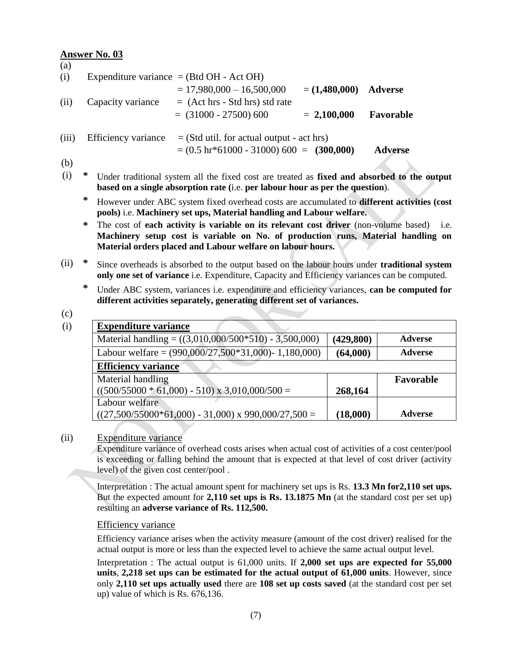| (a)   |   |                             |                                                                                                                                                                                                                                        |                 |                                |      |
|-------|---|-----------------------------|----------------------------------------------------------------------------------------------------------------------------------------------------------------------------------------------------------------------------------------|-----------------|--------------------------------|------|
| (i)   |   |                             | Expenditure variance $=$ (Btd OH - Act OH)                                                                                                                                                                                             |                 |                                |      |
|       |   |                             | $= 17,980,000 - 16,500,000$                                                                                                                                                                                                            | $= (1,480,000)$ | <b>Adverse</b>                 |      |
| (ii)  |   | Capacity variance           | $=$ (Act hrs - Std hrs) std rate                                                                                                                                                                                                       |                 |                                |      |
|       |   |                             | $=$ (31000 - 27500) 600                                                                                                                                                                                                                | $= 2,100,000$   | Favorable                      |      |
| (iii) |   | Efficiency variance         | $=$ (Std util. for actual output - act hrs)                                                                                                                                                                                            |                 |                                |      |
|       |   |                             | $= (0.5 \text{ hr} * 61000 - 31000) 600 = (300,000)$                                                                                                                                                                                   |                 | <b>Adverse</b>                 |      |
| (b)   |   |                             |                                                                                                                                                                                                                                        |                 |                                |      |
| (i)   | ∗ |                             | Under traditional system all the fixed cost are treated as fixed and absorbed to the output<br>based on a single absorption rate (i.e. per labour hour as per the question).                                                           |                 |                                |      |
|       | ∗ |                             | However under ABC system fixed overhead costs are accumulated to <b>different activities</b> (cost<br>pools) i.e. Machinery set ups, Material handling and Labour welfare.                                                             |                 |                                |      |
|       | ∗ |                             | The cost of each activity is variable on its relevant cost driver (non-volume based)<br>Machinery setup cost is variable on No. of production runs, Material handling on<br>Material orders placed and Labour welfare on labour hours. |                 |                                | i.e. |
| (ii)  | ∗ |                             | Since overheads is absorbed to the output based on the labour hours under <b>traditional system</b><br>only one set of variance <i>i.e.</i> Expenditure, Capacity and Efficiency variances can be computed.                            |                 |                                |      |
|       | ∗ |                             | Under ABC system, variances i.e. expenditure and efficiency variances, can be computed for<br>different activities separately, generating different set of variances.                                                                  |                 |                                |      |
| (c)   |   |                             |                                                                                                                                                                                                                                        |                 |                                |      |
| (i)   |   | <b>Expenditure variance</b> |                                                                                                                                                                                                                                        |                 |                                |      |
|       |   |                             | Material handling = $((3,010,000/500*510) - 3,500,000)$                                                                                                                                                                                | (429, 800)      | <b>Adverse</b>                 |      |
|       |   |                             | Labour welfare = $(990,000/27,500*31,000)$ - 1,180,000)                                                                                                                                                                                | (64,000)        | <b>Adverse</b>                 |      |
|       |   | <b>Efficiency variance</b>  |                                                                                                                                                                                                                                        |                 |                                |      |
|       |   | Mational                    |                                                                                                                                                                                                                                        |                 | $\Gamma$ <sub>ariana</sub> Lla |      |

| Material handling                                     |          | Favorable      |
|-------------------------------------------------------|----------|----------------|
| $((500/55000 * 61,000) - 510) \times 3,010,000/500 =$ | 268,164  |                |
| Labour welfare                                        |          |                |
| $((27,500/55000*61,000) - 31,000)$ x 990,000/27,500 = | (18,000) | <b>Adverse</b> |

# (ii) Expenditure variance

Expenditure variance of overhead costs arises when actual cost of activities of a cost center/pool is exceeding or falling behind the amount that is expected at that level of cost driver (activity level) of the given cost center/pool .

Interpretation : The actual amount spent for machinery set ups is Rs. **13.3 Mn for2,110 set ups.** But the expected amount for **2,110 set ups is Rs. 13.1875 Mn** (at the standard cost per set up) resulting an **adverse variance of Rs. 112,500.**

# Efficiency variance

Efficiency variance arises when the activity measure (amount of the cost driver) realised for the actual output is more or less than the expected level to achieve the same actual output level.

Interpretation : The actual output is 61,000 units. If **2,000 set ups are expected for 55,000 units**, **2,218 set ups can be estimated for the actual output of 61,000 units**. However, since only **2,110 set ups actually used** there are **108 set up costs saved** (at the standard cost per set up) value of which is Rs. 676,136.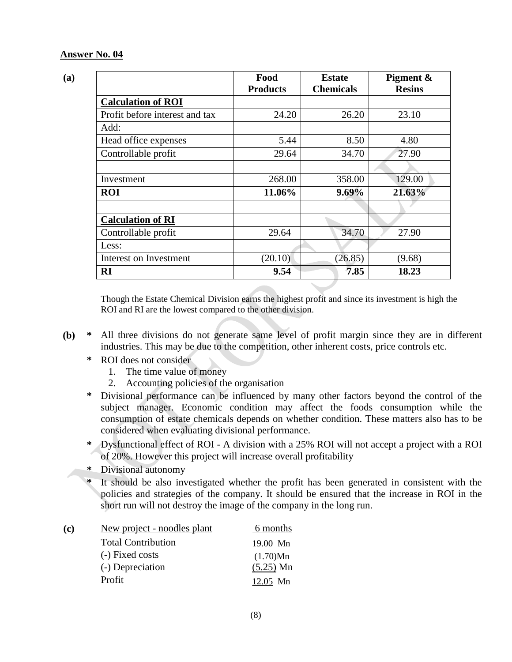|                                | Food<br><b>Products</b> | <b>Estate</b><br><b>Chemicals</b> | Pigment &<br><b>Resins</b> |
|--------------------------------|-------------------------|-----------------------------------|----------------------------|
| <b>Calculation of ROI</b>      |                         |                                   |                            |
| Profit before interest and tax | 24.20                   | 26.20                             | 23.10                      |
| Add:                           |                         |                                   |                            |
| Head office expenses           | 5.44                    | 8.50                              | 4.80                       |
| Controllable profit            | 29.64                   | 34.70                             | 27.90                      |
|                                |                         |                                   |                            |
| Investment                     | 268.00                  | 358.00                            | 129.00                     |
| <b>ROI</b>                     | 11.06%                  | $9.69\%$                          | 21.63%                     |
|                                |                         |                                   |                            |
| <b>Calculation of RI</b>       |                         |                                   |                            |
| Controllable profit            | 29.64                   | 34.70                             | 27.90                      |
| Less:                          |                         |                                   |                            |
| Interest on Investment         | (20.10)                 | (26.85)                           | (9.68)                     |
| RI                             | 9.54                    | 7.85                              | 18.23                      |

Though the Estate Chemical Division earns the highest profit and since its investment is high the ROI and RI are the lowest compared to the other division.

- **(b) \*** All three divisions do not generate same level of profit margin since they are in different industries. This may be due to the competition, other inherent costs, price controls etc.
	- **\*** ROI does not consider
		- 1. The time value of money
		- 2. Accounting policies of the organisation
	- **\*** Divisional performance can be influenced by many other factors beyond the control of the subject manager. Economic condition may affect the foods consumption while the consumption of estate chemicals depends on whether condition. These matters also has to be considered when evaluating divisional performance.
	- **\*** Dysfunctional effect of ROI A division with a 25% ROI will not accept a project with a ROI of 20%. However this project will increase overall profitability
	- **\*** Divisional autonomy
	- **\*** It should be also investigated whether the profit has been generated in consistent with the policies and strategies of the company. It should be ensured that the increase in ROI in the short run will not destroy the image of the company in the long run.

| (c) | New project - noodles plant | 6 months    |
|-----|-----------------------------|-------------|
|     | <b>Total Contribution</b>   | 19.00 Mn    |
|     | (-) Fixed costs             | (1.70)Mn    |
|     | (-) Depreciation            | $(5.25)$ Mn |
|     | Profit                      | 12.05 Mn    |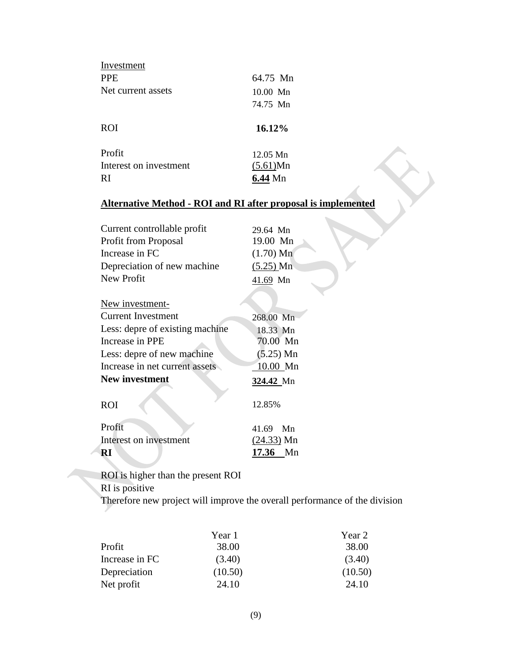| Investment             |                    |  |
|------------------------|--------------------|--|
| <b>PPE</b>             | 64.75 Mn           |  |
| Net current assets     | $10.00$ Mn         |  |
|                        | 74.75 Mn           |  |
| <b>ROI</b>             | 16.12%             |  |
|                        |                    |  |
| Profit                 | $12.05 \text{ Mn}$ |  |
| Interest on investment | (5.61)Mn           |  |

# **Alternative Method - ROI and RI after proposal is implemented**

| 29.64 Mn    |
|-------------|
| 19.00 Mn    |
| $(1.70)$ Mn |
| $(5.25)$ Mn |
| 41.69 Mn    |
|             |

| New investment-                 |              |
|---------------------------------|--------------|
| <b>Current Investment</b>       | 268.00 Mn    |
| Less: depre of existing machine | 18.33 Mn     |
| Increase in PPE                 | 70.00 Mn     |
| Less: depre of new machine      | $(5.25)$ Mn  |
| Increase in net current assets  | 10.00 Mn     |
| New investment                  | 324.42 Mn    |
| <b>ROI</b>                      | 12.85%       |
| Profit                          | $41.69$ Mn   |
| Interest on investment          | $(24.33)$ Mn |
| RI                              | 17.36 Mn     |

ROI is higher than the present ROI

RI is positive

Therefore new project will improve the overall performance of the division

|                | Year 1  | Year 2  |
|----------------|---------|---------|
| Profit         | 38.00   | 38.00   |
| Increase in FC | (3.40)  | (3.40)  |
| Depreciation   | (10.50) | (10.50) |
| Net profit     | 24.10   | 24.10   |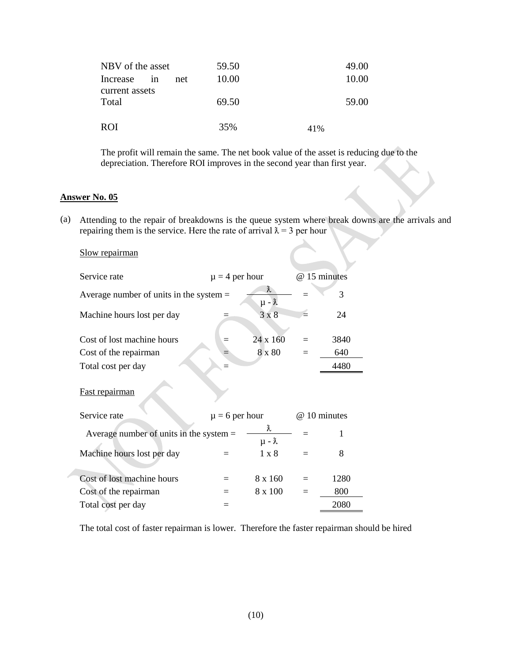| NBV of the asset        |    |     | 59.50 |     | 49.00 |
|-------------------------|----|-----|-------|-----|-------|
| Increase                | 1n | net | 10.00 |     | 10.00 |
| current assets<br>Total |    |     | 69.50 |     | 59.00 |
| ROI                     |    |     | 35%   | 41% |       |

The profit will remain the same. The net book value of the asset is reducing due to the depreciation. Therefore ROI improves in the second year than first year.

#### **Answer No. 05**

(a) Attending to the repair of breakdowns is the queue system where break downs are the arrivals and repairing them is the service. Here the rate of arrival  $\lambda = 3$  per hour

#### Slow repairman

| Service rate                              |                    | $\mu = 4$ per hour           |  | @ 15 minutes |  |
|-------------------------------------------|--------------------|------------------------------|--|--------------|--|
| Average number of units in the system $=$ |                    | $\lambda$<br>$\mu - \lambda$ |  | 3            |  |
| Machine hours lost per day                |                    | $3 \times 8$                 |  | 24           |  |
| Cost of lost machine hours                |                    | 24 x 160                     |  | 3840         |  |
| Cost of the repairman                     |                    | 8 x 80                       |  | 640          |  |
| Total cost per day                        |                    |                              |  | 4480         |  |
| Fast repairman                            |                    |                              |  |              |  |
| Service rate                              | $\mu = 6$ per hour |                              |  | @ 10 minutes |  |
| Average number of units in the system $=$ |                    | λ<br>$\mu - \lambda$         |  |              |  |
| Machine hours lost per day                |                    | $1 \times 8$                 |  | 8            |  |
| Cost of lost machine hours                |                    | 8 x 160                      |  | 1280         |  |

Cost of the repairman  $= 8 \times 100 = 800$ Total cost per day  $=$  2080

The total cost of faster repairman is lower. Therefore the faster repairman should be hired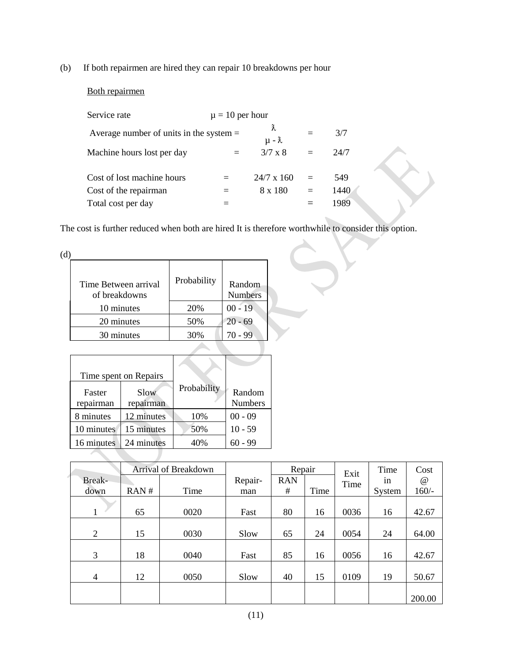(b) If both repairmen are hired they can repair 10 breakdowns per hour

#### Both repairmen

| Service rate                              | $\mu = 10$ per hour |                              |     |      |
|-------------------------------------------|---------------------|------------------------------|-----|------|
| Average number of units in the system $=$ |                     | $\lambda$<br>$\mu - \lambda$ |     | 3/7  |
| Machine hours lost per day                |                     | $3/7 \times 8$               |     | 24/7 |
| Cost of lost machine hours                |                     | $24/7 \times 160$            | $=$ | 549  |
| Cost of the repairman                     |                     | 8 x 180                      | $=$ | 1440 |
| Total cost per day                        |                     |                              |     | 1989 |

The cost is further reduced when both are hired It is therefore worthwhile to consider this option.

| $-$<br>× | I |
|----------|---|

| Time Between arrival<br>of breakdowns | Probability | Random<br><b>Numbers</b> |
|---------------------------------------|-------------|--------------------------|
| 10 minutes                            | 20%         | $00 - 19$                |
| 20 minutes                            | 50%         | $20 - 69$                |
| 30 minutes                            | 30%         | 70 - 99                  |
|                                       |             |                          |

|                     | Time spent on Repairs |             |                          |
|---------------------|-----------------------|-------------|--------------------------|
| Faster<br>repairman | Slow<br>repairman     | Probability | Random<br><b>Numbers</b> |
| 8 minutes           | 12 minutes            | 10%         | $00 - 09$                |
| 10 minutes          | 15 minutes            | 50%         | $10 - 59$                |
| 16 minutes          | 24 minutes            | 40%         | $60 - 99$                |
|                     |                       |             |                          |

|                |      | <b>Arrival of Breakdown</b> |         | Repair     |      | Exit | Time   | Cost        |
|----------------|------|-----------------------------|---------|------------|------|------|--------|-------------|
| Break-         |      |                             | Repair- | <b>RAN</b> |      | Time | 1n     | $^{\omega}$ |
| down           | RAN# | Time                        | man     | #          | Time |      | System | $160/-$     |
|                |      |                             |         |            |      |      |        |             |
|                | 65   | 0020                        | Fast    | 80         | 16   | 0036 | 16     | 42.67       |
|                |      |                             |         |            |      |      |        |             |
| $\overline{2}$ | 15   | 0030                        | Slow    | 65         | 24   | 0054 | 24     | 64.00       |
|                |      |                             |         |            |      |      |        |             |
| 3              | 18   | 0040                        | Fast    | 85         | 16   | 0056 | 16     | 42.67       |
|                |      |                             |         |            |      |      |        |             |
| 4              | 12   | 0050                        | Slow    | 40         | 15   | 0109 | 19     | 50.67       |
|                |      |                             |         |            |      |      |        |             |
|                |      |                             |         |            |      |      |        | 200.00      |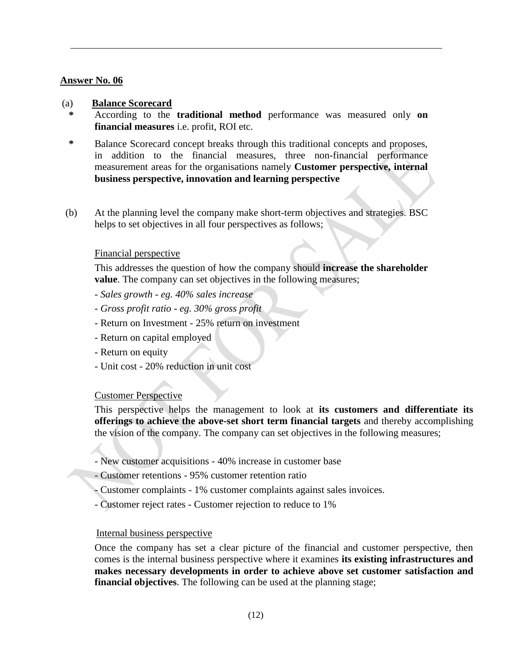#### (a) **Balance Scorecard**

- **\*** According to the **traditional method** performance was measured only **on financial measures** i.e. profit, ROI etc.
- **\*** Balance Scorecard concept breaks through this traditional concepts and proposes, in addition to the financial measures, three non-financial performance measurement areas for the organisations namely **Customer perspective, internal business perspective, innovation and learning perspective**
- (b) At the planning level the company make short-term objectives and strategies. BSC helps to set objectives in all four perspectives as follows;

#### Financial perspective

This addresses the question of how the company should **increase the shareholder value**. The company can set objectives in the following measures;

- *- Sales growth - eg. 40% sales increase*
- *- Gross profit ratio - eg. 30% gross profit*
- Return on Investment 25% return on investment
- Return on capital employed
- Return on equity
- Unit cost 20% reduction in unit cost

#### Customer Perspective

This perspective helps the management to look at **its customers and differentiate its offerings to achieve the above-set short term financial targets** and thereby accomplishing the vision of the company. The company can set objectives in the following measures;

- New customer acquisitions 40% increase in customer base
- Customer retentions 95% customer retention ratio
- Customer complaints 1% customer complaints against sales invoices.
- Customer reject rates Customer rejection to reduce to 1%

#### Internal business perspective

Once the company has set a clear picture of the financial and customer perspective, then comes is the internal business perspective where it examines **its existing infrastructures and makes necessary developments in order to achieve above set customer satisfaction and financial objectives**. The following can be used at the planning stage;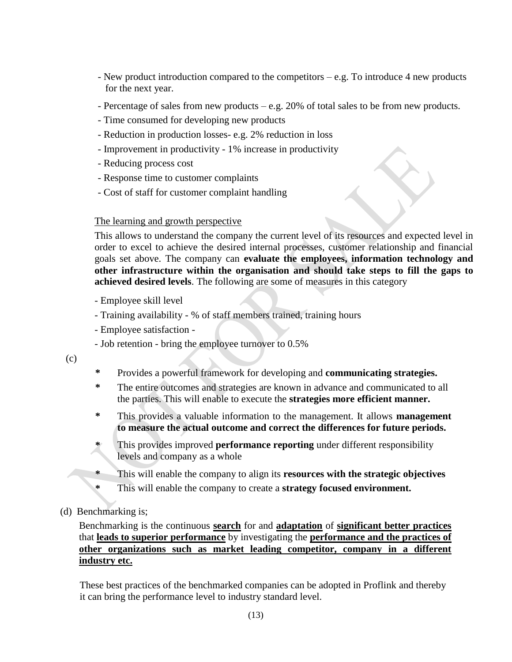- New product introduction compared to the competitors e.g. To introduce 4 new products for the next year.
- Percentage of sales from new products e.g. 20% of total sales to be from new products.
- Time consumed for developing new products
- Reduction in production losses- e.g. 2% reduction in loss
- Improvement in productivity 1% increase in productivity
- Reducing process cost
- Response time to customer complaints
- Cost of staff for customer complaint handling

#### The learning and growth perspective

This allows to understand the company the current level of its resources and expected level in order to excel to achieve the desired internal processes, customer relationship and financial goals set above. The company can **evaluate the employees, information technology and other infrastructure within the organisation and should take steps to fill the gaps to achieved desired levels**. The following are some of measures in this category

- Employee skill level
- Training availability % of staff members trained, training hours
- Employee satisfaction -
- Job retention bring the employee turnover to 0.5%

(c)

- **\*** Provides a powerful framework for developing and **communicating strategies.**
- **\*** The entire outcomes and strategies are known in advance and communicated to all the parties. This will enable to execute the **strategies more efficient manner.**
- **\*** This provides a valuable information to the management. It allows **management to measure the actual outcome and correct the differences for future periods.**
- **\*** This provides improved **performance reporting** under different responsibility levels and company as a whole
- **\*** This will enable the company to align its **resources with the strategic objectives**
- **\*** This will enable the company to create a **strategy focused environment.**
- (d) Benchmarking is;

Benchmarking is the continuous **search** for and **adaptation** of **significant better practices** that **leads to superior performance** by investigating the **performance and the practices of other organizations such as market leading competitor, company in a different industry etc.**

These best practices of the benchmarked companies can be adopted in Proflink and thereby it can bring the performance level to industry standard level.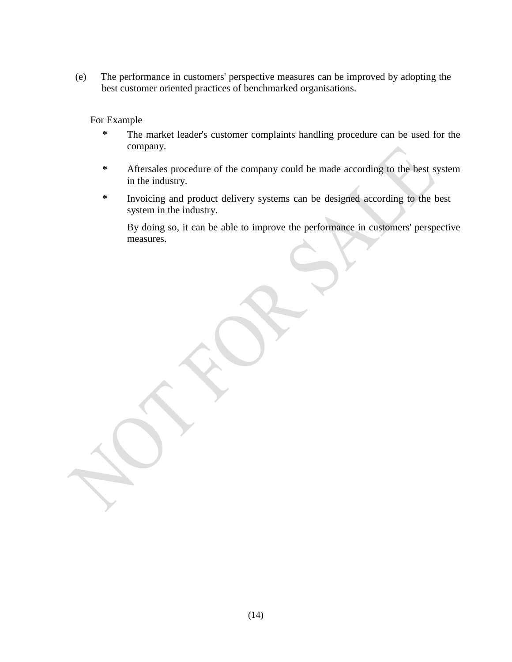(e) The performance in customers' perspective measures can be improved by adopting the best customer oriented practices of benchmarked organisations.

For Example

- **\*** The market leader's customer complaints handling procedure can be used for the company.
- **\*** Aftersales procedure of the company could be made according to the best system in the industry.
- **\*** Invoicing and product delivery systems can be designed according to the best system in the industry.

By doing so, it can be able to improve the performance in customers' perspective measures.